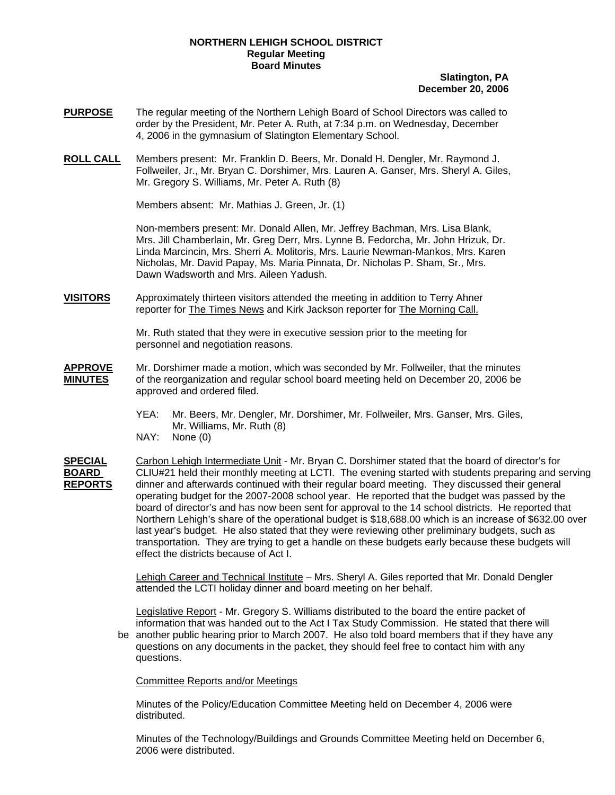## **NORTHERN LEHIGH SCHOOL DISTRICT Regular Meeting Board Minutes**

## **Slatington, PA December 20, 2006**

- **PURPOSE** The regular meeting of the Northern Lehigh Board of School Directors was called to order by the President, Mr. Peter A. Ruth, at 7:34 p.m. on Wednesday, December 4, 2006 in the gymnasium of Slatington Elementary School.
- **ROLL CALL** Members present: Mr. Franklin D. Beers, Mr. Donald H. Dengler, Mr. Raymond J. Follweiler, Jr., Mr. Bryan C. Dorshimer, Mrs. Lauren A. Ganser, Mrs. Sheryl A. Giles, Mr. Gregory S. Williams, Mr. Peter A. Ruth (8)

Members absent: Mr. Mathias J. Green, Jr. (1)

Non-members present: Mr. Donald Allen, Mr. Jeffrey Bachman, Mrs. Lisa Blank, Mrs. Jill Chamberlain, Mr. Greg Derr, Mrs. Lynne B. Fedorcha, Mr. John Hrizuk, Dr. Linda Marcincin, Mrs. Sherri A. Molitoris, Mrs. Laurie Newman-Mankos, Mrs. Karen Nicholas, Mr. David Papay, Ms. Maria Pinnata, Dr. Nicholas P. Sham, Sr., Mrs. Dawn Wadsworth and Mrs. Aileen Yadush.

**VISITORS** Approximately thirteen visitors attended the meeting in addition to Terry Ahner reporter for The Times News and Kirk Jackson reporter for The Morning Call.

> Mr. Ruth stated that they were in executive session prior to the meeting for personnel and negotiation reasons.

- **APPROVE** Mr. Dorshimer made a motion, which was seconded by Mr. Follweiler, that the minutes **MINUTES** of the reorganization and regular school board meeting held on December 20, 2006 be approved and ordered filed.
	- YEA: Mr. Beers, Mr. Dengler, Mr. Dorshimer, Mr. Follweiler, Mrs. Ganser, Mrs. Giles, Mr. Williams, Mr. Ruth (8)
	- NAY: None (0)

**SPECIAL** Carbon Lehigh Intermediate Unit - Mr. Bryan C. Dorshimer stated that the board of director's for **BOARD** CLIU#21 held their monthly meeting at LCTI. The evening started with students preparing and serving **REPORTS** dinner and afterwards continued with their regular board meeting. They discussed their general operating budget for the 2007-2008 school year. He reported that the budget was passed by the board of director's and has now been sent for approval to the 14 school districts. He reported that Northern Lehigh's share of the operational budget is \$18,688.00 which is an increase of \$632.00 over last year's budget. He also stated that they were reviewing other preliminary budgets, such as transportation. They are trying to get a handle on these budgets early because these budgets will effect the districts because of Act I.

> Lehigh Career and Technical Institute – Mrs. Sheryl A. Giles reported that Mr. Donald Dengler attended the LCTI holiday dinner and board meeting on her behalf.

Legislative Report - Mr. Gregory S. Williams distributed to the board the entire packet of information that was handed out to the Act I Tax Study Commission. He stated that there will be another public hearing prior to March 2007. He also told board members that if they have any

 questions on any documents in the packet, they should feel free to contact him with any questions.

Committee Reports and/or Meetings

Minutes of the Policy/Education Committee Meeting held on December 4, 2006 were distributed.

Minutes of the Technology/Buildings and Grounds Committee Meeting held on December 6, 2006 were distributed.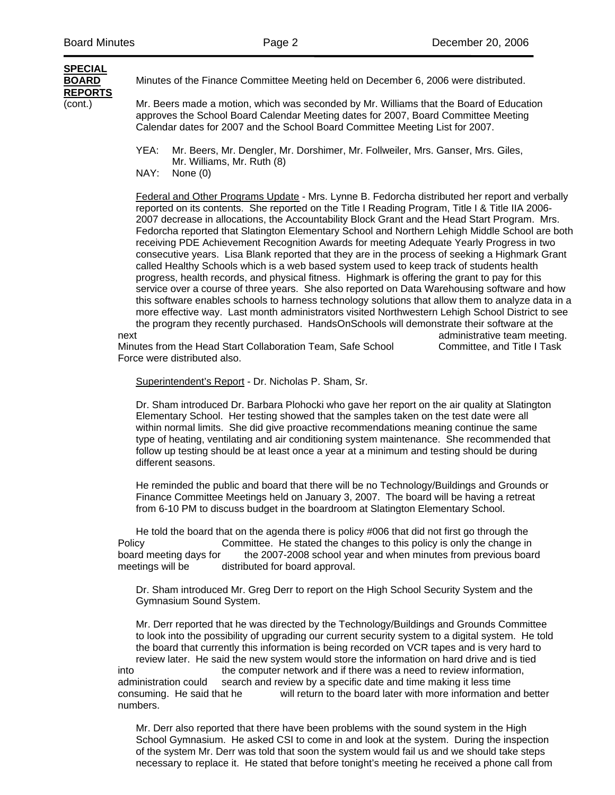## **SPECIAL REPORTS**

**BOARD** Minutes of the Finance Committee Meeting held on December 6, 2006 were distributed.

(cont.) Mr. Beers made a motion, which was seconded by Mr. Williams that the Board of Education approves the School Board Calendar Meeting dates for 2007, Board Committee Meeting Calendar dates for 2007 and the School Board Committee Meeting List for 2007.

- YEA: Mr. Beers, Mr. Dengler, Mr. Dorshimer, Mr. Follweiler, Mrs. Ganser, Mrs. Giles, Mr. Williams, Mr. Ruth (8)
- NAY: None (0)

Federal and Other Programs Update - Mrs. Lynne B. Fedorcha distributed her report and verbally reported on its contents. She reported on the Title I Reading Program, Title I & Title IIA 2006- 2007 decrease in allocations, the Accountability Block Grant and the Head Start Program. Mrs. Fedorcha reported that Slatington Elementary School and Northern Lehigh Middle School are both receiving PDE Achievement Recognition Awards for meeting Adequate Yearly Progress in two consecutive years. Lisa Blank reported that they are in the process of seeking a Highmark Grant called Healthy Schools which is a web based system used to keep track of students health progress, health records, and physical fitness. Highmark is offering the grant to pay for this service over a course of three years. She also reported on Data Warehousing software and how this software enables schools to harness technology solutions that allow them to analyze data in a more effective way. Last month administrators visited Northwestern Lehigh School District to see the program they recently purchased. HandsOnSchools will demonstrate their software at the next and the contract of the contract of the contract of the contract of the contract of the contract of the contract of the contract of the contract of the contract of the contract of the contract of the contract of the c

Minutes from the Head Start Collaboration Team, Safe School Committee, and Title I Task Force were distributed also.

Superintendent's Report - Dr. Nicholas P. Sham, Sr.

Dr. Sham introduced Dr. Barbara Plohocki who gave her report on the air quality at Slatington Elementary School. Her testing showed that the samples taken on the test date were all within normal limits. She did give proactive recommendations meaning continue the same type of heating, ventilating and air conditioning system maintenance. She recommended that follow up testing should be at least once a year at a minimum and testing should be during different seasons.

 He reminded the public and board that there will be no Technology/Buildings and Grounds or Finance Committee Meetings held on January 3, 2007. The board will be having a retreat from 6-10 PM to discuss budget in the boardroom at Slatington Elementary School.

 He told the board that on the agenda there is policy #006 that did not first go through the Policy Committee. He stated the changes to this policy is only the change in board meeting days for the 2007-2008 school year and when minutes from previous board meetings will be distributed for board approval.

 Dr. Sham introduced Mr. Greg Derr to report on the High School Security System and the Gymnasium Sound System.

 Mr. Derr reported that he was directed by the Technology/Buildings and Grounds Committee to look into the possibility of upgrading our current security system to a digital system. He told the board that currently this information is being recorded on VCR tapes and is very hard to review later. He said the new system would store the information on hard drive and is tied into the computer network and if there was a need to review information, administration could search and review by a specific date and time making it less time consuming. He said that he will return to the board later with more information and better numbers.

 Mr. Derr also reported that there have been problems with the sound system in the High School Gymnasium. He asked CSI to come in and look at the system. During the inspection of the system Mr. Derr was told that soon the system would fail us and we should take steps necessary to replace it. He stated that before tonight's meeting he received a phone call from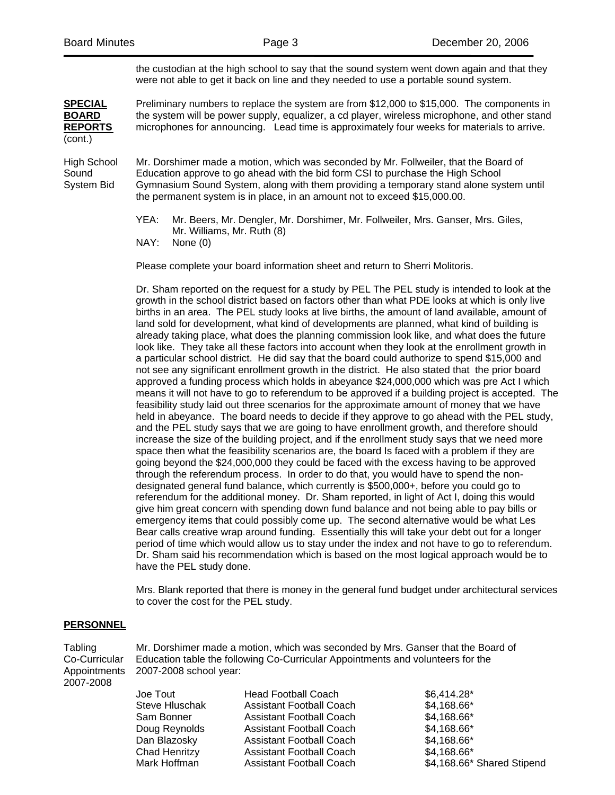the custodian at the high school to say that the sound system went down again and that they were not able to get it back on line and they needed to use a portable sound system.

**SPECIAL** Preliminary numbers to replace the system are from \$12,000 to \$15,000. The components in **BOARD** the system will be power supply, equalizer, a cd player, wireless microphone, and other stand **REPORTS** microphones for announcing. Lead time is approximately four weeks for materials to arrive. (cont.)

High School Mr. Dorshimer made a motion, which was seconded by Mr. Follweiler, that the Board of Sound Education approve to go ahead with the bid form CSI to purchase the High School System Bid Gymnasium Sound System, along with them providing a temporary stand alone system until the permanent system is in place, in an amount not to exceed \$15,000.00.

> YEA: Mr. Beers, Mr. Dengler, Mr. Dorshimer, Mr. Follweiler, Mrs. Ganser, Mrs. Giles, Mr. Williams, Mr. Ruth (8)<br>NAY: None (0)

None (0)

Please complete your board information sheet and return to Sherri Molitoris.

 Dr. Sham reported on the request for a study by PEL The PEL study is intended to look at the growth in the school district based on factors other than what PDE looks at which is only live births in an area. The PEL study looks at live births, the amount of land available, amount of land sold for development, what kind of developments are planned, what kind of building is already taking place, what does the planning commission look like, and what does the future look like. They take all these factors into account when they look at the enrollment growth in a particular school district. He did say that the board could authorize to spend \$15,000 and not see any significant enrollment growth in the district. He also stated that the prior board approved a funding process which holds in abeyance \$24,000,000 which was pre Act I which means it will not have to go to referendum to be approved if a building project is accepted. The feasibility study laid out three scenarios for the approximate amount of money that we have held in abeyance. The board needs to decide if they approve to go ahead with the PEL study, and the PEL study says that we are going to have enrollment growth, and therefore should increase the size of the building project, and if the enrollment study says that we need more space then what the feasibility scenarios are, the board Is faced with a problem if they are going beyond the \$24,000,000 they could be faced with the excess having to be approved through the referendum process. In order to do that, you would have to spend the non designated general fund balance, which currently is \$500,000+, before you could go to referendum for the additional money. Dr. Sham reported, in light of Act I, doing this would give him great concern with spending down fund balance and not being able to pay bills or emergency items that could possibly come up. The second alternative would be what Les Bear calls creative wrap around funding. Essentially this will take your debt out for a longer period of time which would allow us to stay under the index and not have to go to referendum. Dr. Sham said his recommendation which is based on the most logical approach would be to have the PEL study done.

 Mrs. Blank reported that there is money in the general fund budget under architectural services to cover the cost for the PEL study.

## **PERSONNEL**

Tabling Mr. Dorshimer made a motion, which was seconded by Mrs. Ganser that the Board of Co-Curricular Education table the following Co-Curricular Appointments and volunteers for the Appointments 2007-2008 school year: 2007-2008

| \$4,168.66* Shared Stipend                                                              |
|-----------------------------------------------------------------------------------------|
| $$6,414.28*$<br>\$4,168.66*<br>\$4,168.66*<br>\$4,168.66*<br>\$4,168.66*<br>\$4,168.66* |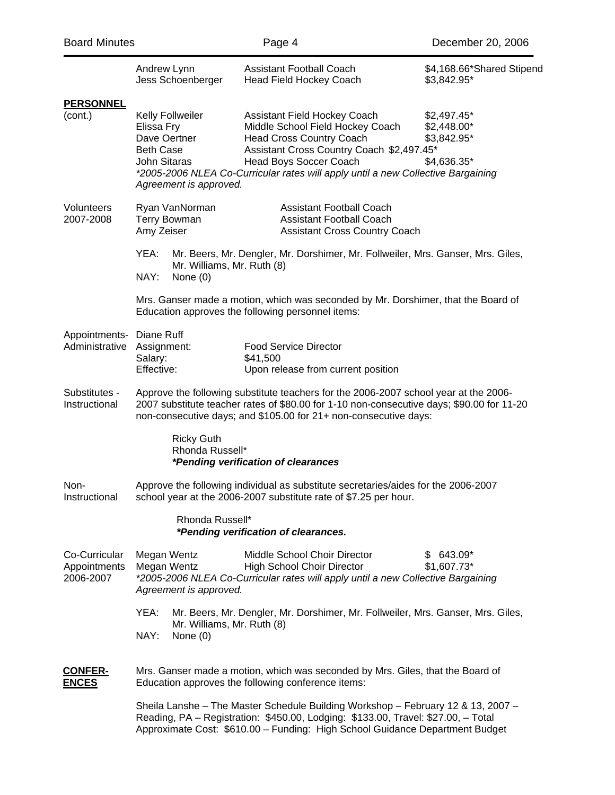| <b>Board Minutes</b>                       |                                                                                                              | Page 4                                                                                                                                                                                                                                                         | December 20, 2006                                        |
|--------------------------------------------|--------------------------------------------------------------------------------------------------------------|----------------------------------------------------------------------------------------------------------------------------------------------------------------------------------------------------------------------------------------------------------------|----------------------------------------------------------|
|                                            | Andrew Lynn<br>Jess Schoenberger                                                                             | <b>Assistant Football Coach</b><br><b>Head Field Hockey Coach</b>                                                                                                                                                                                              | \$4,168.66*Shared Stipend<br>\$3,842.95*                 |
| <b>PERSONNEL</b><br>(cont.)                | Kelly Follweiler<br>Elissa Fry<br>Dave Oertner<br><b>Beth Case</b><br>John Sitaras<br>Agreement is approved. | Assistant Field Hockey Coach<br>Middle School Field Hockey Coach<br><b>Head Cross Country Coach</b><br>Assistant Cross Country Coach \$2,497.45*<br>Head Boys Soccer Coach<br>*2005-2006 NLEA Co-Curricular rates will apply until a new Collective Bargaining | \$2,497.45*<br>\$2,448.00*<br>\$3,842.95*<br>\$4,636.35* |
| Volunteers<br>2007-2008                    | Ryan VanNorman<br><b>Terry Bowman</b><br>Amy Zeiser                                                          | <b>Assistant Football Coach</b><br><b>Assistant Football Coach</b><br><b>Assistant Cross Country Coach</b>                                                                                                                                                     |                                                          |
|                                            | YEA:<br>Mr. Williams, Mr. Ruth (8)<br>NAY:<br>None $(0)$                                                     | Mr. Beers, Mr. Dengler, Mr. Dorshimer, Mr. Follweiler, Mrs. Ganser, Mrs. Giles,                                                                                                                                                                                |                                                          |
|                                            |                                                                                                              | Mrs. Ganser made a motion, which was seconded by Mr. Dorshimer, that the Board of<br>Education approves the following personnel items:                                                                                                                         |                                                          |
| Appointments- Diane Ruff<br>Administrative | Assignment:<br>Salary:<br>Effective:                                                                         | <b>Food Service Director</b><br>\$41,500<br>Upon release from current position                                                                                                                                                                                 |                                                          |
| Substitutes -<br>Instructional             |                                                                                                              | Approve the following substitute teachers for the 2006-2007 school year at the 2006-<br>2007 substitute teacher rates of \$80.00 for 1-10 non-consecutive days; \$90.00 for 11-20<br>non-consecutive days; and \$105.00 for 21+ non-consecutive days:          |                                                          |
|                                            | <b>Ricky Guth</b><br>Rhonda Russell*                                                                         | <i>*Pending verification of clearances</i>                                                                                                                                                                                                                     |                                                          |
| Non-<br>Instructional                      |                                                                                                              | Approve the following individual as substitute secretaries/aides for the 2006-2007<br>school year at the 2006-2007 substitute rate of \$7.25 per hour.                                                                                                         |                                                          |
|                                            | Rhonda Russell*                                                                                              | *Pending verification of clearances.                                                                                                                                                                                                                           |                                                          |
| Co-Curricular<br>Appointments<br>2006-2007 | Megan Wentz<br>Megan Wentz<br>Agreement is approved.                                                         | Middle School Choir Director<br>High School Choir Director<br>*2005-2006 NLEA Co-Curricular rates will apply until a new Collective Bargaining                                                                                                                 | $$643.09*$<br>\$1,607.73*                                |
|                                            | YEA:<br>Mr. Williams, Mr. Ruth (8)<br>NAY:<br>None $(0)$                                                     | Mr. Beers, Mr. Dengler, Mr. Dorshimer, Mr. Follweiler, Mrs. Ganser, Mrs. Giles,                                                                                                                                                                                |                                                          |
| <b>CONFER-</b><br><u>ENCES</u>             |                                                                                                              | Mrs. Ganser made a motion, which was seconded by Mrs. Giles, that the Board of<br>Education approves the following conference items:                                                                                                                           |                                                          |
|                                            |                                                                                                              | Sheila Lanshe - The Master Schedule Building Workshop - February 12 & 13, 2007 -<br>Reading, PA - Registration: \$450.00, Lodging: \$133.00, Travel: \$27.00, - Total<br>Approximate Cost: \$610.00 - Funding: High School Guidance Department Budget          |                                                          |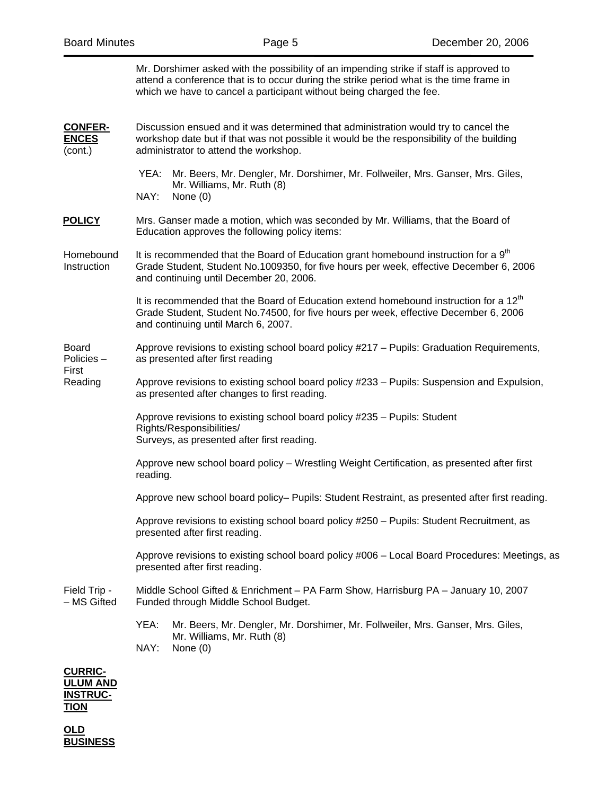|                                               | Mr. Dorshimer asked with the possibility of an impending strike if staff is approved to<br>attend a conference that is to occur during the strike period what is the time frame in<br>which we have to cancel a participant without being charged the fee. |  |  |  |
|-----------------------------------------------|------------------------------------------------------------------------------------------------------------------------------------------------------------------------------------------------------------------------------------------------------------|--|--|--|
| <b>CONFER-</b><br><b>ENCES</b><br>(cont.)     | Discussion ensued and it was determined that administration would try to cancel the<br>workshop date but if that was not possible it would be the responsibility of the building<br>administrator to attend the workshop.                                  |  |  |  |
|                                               | Mr. Beers, Mr. Dengler, Mr. Dorshimer, Mr. Follweiler, Mrs. Ganser, Mrs. Giles,<br>YEA:<br>Mr. Williams, Mr. Ruth (8)<br>NAY:<br>None $(0)$                                                                                                                |  |  |  |
| <b>POLICY</b>                                 | Mrs. Ganser made a motion, which was seconded by Mr. Williams, that the Board of<br>Education approves the following policy items:                                                                                                                         |  |  |  |
| Homebound<br>Instruction                      | It is recommended that the Board of Education grant homebound instruction for a 9 <sup>th</sup><br>Grade Student, Student No.1009350, for five hours per week, effective December 6, 2006<br>and continuing until December 20, 2006.                       |  |  |  |
|                                               | It is recommended that the Board of Education extend homebound instruction for a 12 <sup>th</sup><br>Grade Student, Student No.74500, for five hours per week, effective December 6, 2006<br>and continuing until March 6, 2007.                           |  |  |  |
| <b>Board</b><br>Policies-<br>First<br>Reading | Approve revisions to existing school board policy #217 - Pupils: Graduation Requirements,<br>as presented after first reading                                                                                                                              |  |  |  |
|                                               | Approve revisions to existing school board policy #233 - Pupils: Suspension and Expulsion,<br>as presented after changes to first reading.                                                                                                                 |  |  |  |
|                                               | Approve revisions to existing school board policy #235 - Pupils: Student<br>Rights/Responsibilities/<br>Surveys, as presented after first reading.                                                                                                         |  |  |  |
|                                               | Approve new school board policy - Wrestling Weight Certification, as presented after first<br>reading.                                                                                                                                                     |  |  |  |
|                                               | Approve new school board policy- Pupils: Student Restraint, as presented after first reading.                                                                                                                                                              |  |  |  |
|                                               | Approve revisions to existing school board policy #250 - Pupils: Student Recruitment, as<br>presented after first reading.                                                                                                                                 |  |  |  |
|                                               | Approve revisions to existing school board policy #006 - Local Board Procedures: Meetings, as<br>presented after first reading.                                                                                                                            |  |  |  |
| Field Trip -<br>- MS Gifted                   | Middle School Gifted & Enrichment - PA Farm Show, Harrisburg PA - January 10, 2007<br>Funded through Middle School Budget.                                                                                                                                 |  |  |  |
|                                               | YEA:<br>Mr. Beers, Mr. Dengler, Mr. Dorshimer, Mr. Follweiler, Mrs. Ganser, Mrs. Giles,<br>Mr. Williams, Mr. Ruth (8)<br>NAY:<br>None (0)                                                                                                                  |  |  |  |
| <b>CURRIC-</b><br>.UM AND                     |                                                                                                                                                                                                                                                            |  |  |  |

**INSTRUC-TION**

**OLD BUSINESS**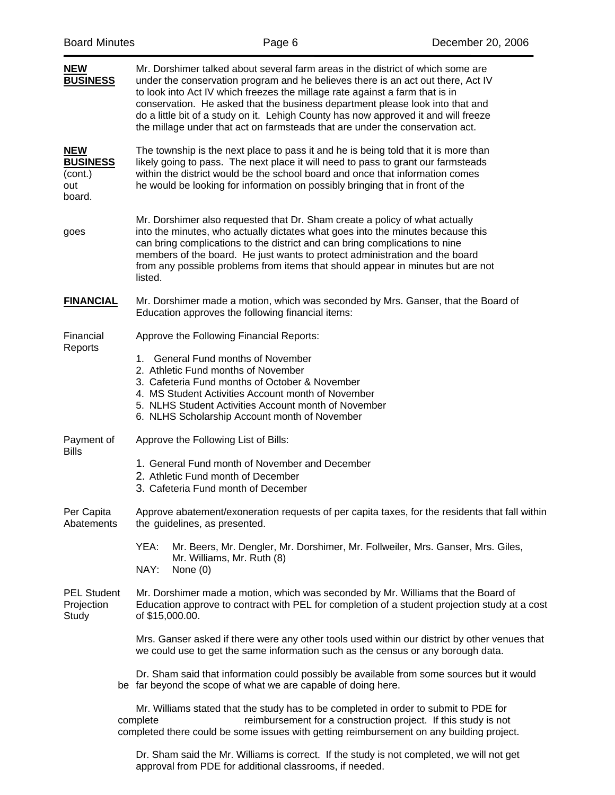| <b>Board Minutes</b>                                      |  |                                                                                                                                                                                                                                                                                                                                                                                                                                                                                                              | Page 6 | December 20, 2006                                                                                                                                                                 |
|-----------------------------------------------------------|--|--------------------------------------------------------------------------------------------------------------------------------------------------------------------------------------------------------------------------------------------------------------------------------------------------------------------------------------------------------------------------------------------------------------------------------------------------------------------------------------------------------------|--------|-----------------------------------------------------------------------------------------------------------------------------------------------------------------------------------|
| NEW<br><b>BUSINESS</b>                                    |  | Mr. Dorshimer talked about several farm areas in the district of which some are<br>under the conservation program and he believes there is an act out there, Act IV<br>to look into Act IV which freezes the millage rate against a farm that is in<br>conservation. He asked that the business department please look into that and<br>do a little bit of a study on it. Lehigh County has now approved it and will freeze<br>the millage under that act on farmsteads that are under the conservation act. |        |                                                                                                                                                                                   |
| <u>NEW</u><br><b>BUSINESS</b><br>(cont.)<br>out<br>board. |  | The township is the next place to pass it and he is being told that it is more than<br>likely going to pass. The next place it will need to pass to grant our farmsteads<br>within the district would be the school board and once that information comes<br>he would be looking for information on possibly bringing that in front of the                                                                                                                                                                   |        |                                                                                                                                                                                   |
| goes                                                      |  | Mr. Dorshimer also requested that Dr. Sham create a policy of what actually<br>into the minutes, who actually dictates what goes into the minutes because this<br>can bring complications to the district and can bring complications to nine<br>members of the board. He just wants to protect administration and the board<br>from any possible problems from items that should appear in minutes but are not<br>listed.                                                                                   |        |                                                                                                                                                                                   |
| <b>FINANCIAL</b>                                          |  | Mr. Dorshimer made a motion, which was seconded by Mrs. Ganser, that the Board of<br>Education approves the following financial items:                                                                                                                                                                                                                                                                                                                                                                       |        |                                                                                                                                                                                   |
| Financial<br>Reports                                      |  | Approve the Following Financial Reports:<br>1. General Fund months of November<br>2. Athletic Fund months of November<br>3. Cafeteria Fund months of October & November<br>4. MS Student Activities Account month of November<br>5. NLHS Student Activities Account month of November<br>6. NLHS Scholarship Account month of November                                                                                                                                                                       |        |                                                                                                                                                                                   |
| Payment of<br>Bills                                       |  | Approve the Following List of Bills:<br>1. General Fund month of November and December<br>2. Athletic Fund month of December<br>3. Cafeteria Fund month of December                                                                                                                                                                                                                                                                                                                                          |        |                                                                                                                                                                                   |
| Per Capita<br>Abatements                                  |  | the guidelines, as presented.<br>YEA:<br>Mr. Williams, Mr. Ruth (8)                                                                                                                                                                                                                                                                                                                                                                                                                                          |        | Approve abatement/exoneration requests of per capita taxes, for the residents that fall within<br>Mr. Beers, Mr. Dengler, Mr. Dorshimer, Mr. Follweiler, Mrs. Ganser, Mrs. Giles, |
| <b>PEL Student</b><br>Projection<br>Study                 |  | NAY:<br>None $(0)$<br>Mr. Dorshimer made a motion, which was seconded by Mr. Williams that the Board of<br>of \$15,000.00.                                                                                                                                                                                                                                                                                                                                                                                   |        | Education approve to contract with PEL for completion of a student projection study at a cost                                                                                     |
|                                                           |  | we could use to get the same information such as the census or any borough data.                                                                                                                                                                                                                                                                                                                                                                                                                             |        | Mrs. Ganser asked if there were any other tools used within our district by other venues that                                                                                     |
|                                                           |  | be far beyond the scope of what we are capable of doing here.                                                                                                                                                                                                                                                                                                                                                                                                                                                |        | Dr. Sham said that information could possibly be available from some sources but it would                                                                                         |
|                                                           |  | Mr. Williams stated that the study has to be completed in order to submit to PDE for<br>complete<br>completed there could be some issues with getting reimbursement on any building project.                                                                                                                                                                                                                                                                                                                 |        | reimbursement for a construction project. If this study is not                                                                                                                    |

 Dr. Sham said the Mr. Williams is correct. If the study is not completed, we will not get approval from PDE for additional classrooms, if needed.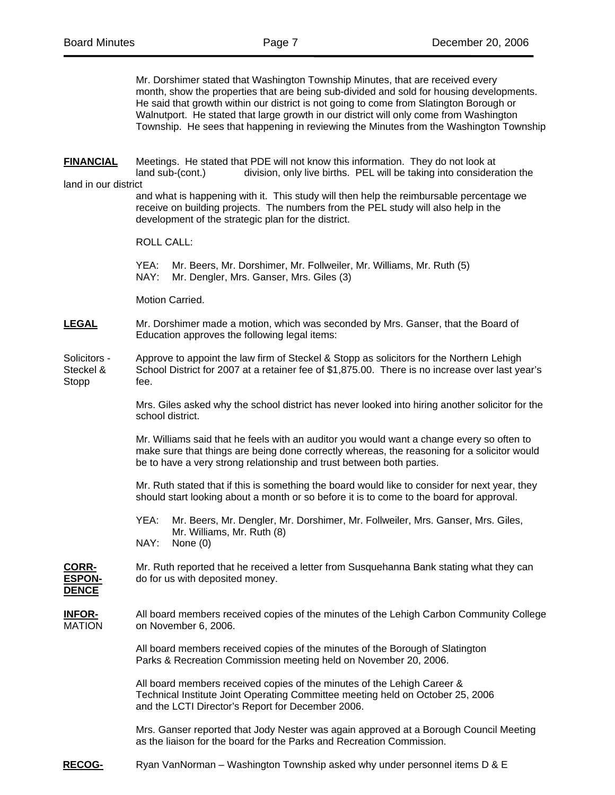Mr. Dorshimer stated that Washington Township Minutes, that are received every month, show the properties that are being sub-divided and sold for housing developments. He said that growth within our district is not going to come from Slatington Borough or Walnutport. He stated that large growth in our district will only come from Washington Township. He sees that happening in reviewing the Minutes from the Washington Township

**FINANCIAL** Meetings. He stated that PDE will not know this information. They do not look at land sub-(cont.) division, only live births. PEL will be taking into consideration the land in our district

and what is happening with it. This study will then help the reimbursable percentage we receive on building projects. The numbers from the PEL study will also help in the development of the strategic plan for the district.

ROLL CALL:

 YEA: Mr. Beers, Mr. Dorshimer, Mr. Follweiler, Mr. Williams, Mr. Ruth (5) NAY: Mr. Dengler, Mrs. Ganser, Mrs. Giles (3)

Motion Carried.

**LEGAL** Mr. Dorshimer made a motion, which was seconded by Mrs. Ganser, that the Board of Education approves the following legal items:

Solicitors - Approve to appoint the law firm of Steckel & Stopp as solicitors for the Northern Lehigh<br>Steckel & School District for 2007 at a retainer fee of \$1.875.00. There is no increase over last ve School District for 2007 at a retainer fee of \$1,875.00. There is no increase over last year's Stopp fee.

> Mrs. Giles asked why the school district has never looked into hiring another solicitor for the school district.

> Mr. Williams said that he feels with an auditor you would want a change every so often to make sure that things are being done correctly whereas, the reasoning for a solicitor would be to have a very strong relationship and trust between both parties.

> Mr. Ruth stated that if this is something the board would like to consider for next year, they should start looking about a month or so before it is to come to the board for approval.

 YEA: Mr. Beers, Mr. Dengler, Mr. Dorshimer, Mr. Follweiler, Mrs. Ganser, Mrs. Giles, Mr. Williams, Mr. Ruth (8)

NAY: None (0)

**CORR-** Mr. Ruth reported that he received a letter from Susquehanna Bank stating what they can **ESPON-** do for us with deposited money.

**DENCE**

**INFOR-** All board members received copies of the minutes of the Lehigh Carbon Community College MATION on November 6, 2006.

> All board members received copies of the minutes of the Borough of Slatington Parks & Recreation Commission meeting held on November 20, 2006.

 All board members received copies of the minutes of the Lehigh Career & Technical Institute Joint Operating Committee meeting held on October 25, 2006 and the LCTI Director's Report for December 2006.

 Mrs. Ganser reported that Jody Nester was again approved at a Borough Council Meeting as the liaison for the board for the Parks and Recreation Commission.